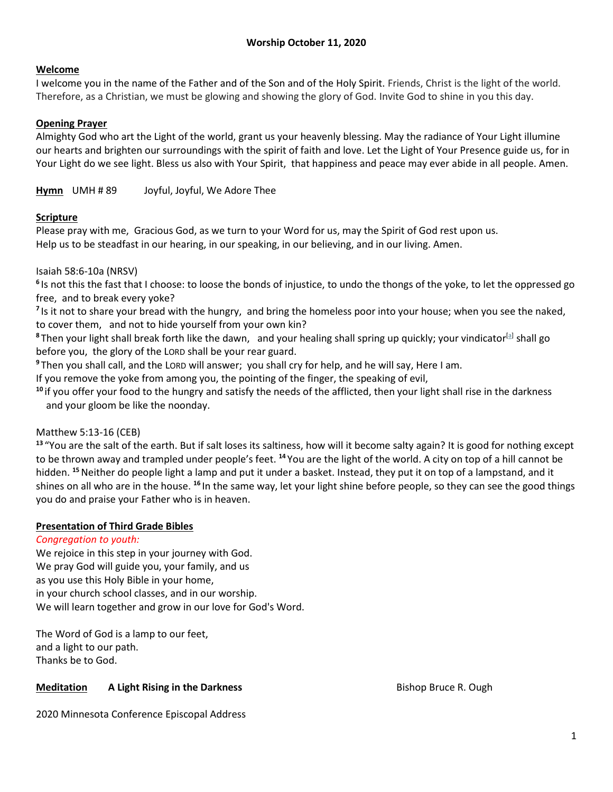### **Welcome**

I welcome you in the name of the Father and of the Son and of the Holy Spirit. Friends, Christ is the light of the world. Therefore, as a Christian, we must be glowing and showing the glory of God. Invite God to shine in you this day.

### **Opening Prayer**

Almighty God who art the Light of the world, grant us your heavenly blessing. May the radiance of Your Light illumine our hearts and brighten our surroundings with the spirit of faith and love. Let the Light of Your Presence guide us, for in Your Light do we see light. Bless us also with Your Spirit, that happiness and peace may ever abide in all people. Amen.

**Hymn** UMH # 89 Joyful, Joyful, We Adore Thee

### **Scripture**

Please pray with me, Gracious God, as we turn to your Word for us, may the Spirit of God rest upon us. Help us to be steadfast in our hearing, in our speaking, in our believing, and in our living. Amen.

#### Isaiah 58:6-10a (NRSV)

**6** Is not this the fast that I choose: to loose the bonds of injustice, to undo the thongs of the yoke, to let the oppressed go free, and to break every yoke?

<sup>7</sup> Is it not to share your bread with the hungry, and bring the homeless poor into your house; when you see the naked, to cover them, and not to hide yourself from your own kin?

8Then your light shall break forth like the dawn, and your healing shall spring up quickly; your vindicator<sup>[\[a\]](about:blank#fen-NRSV-18795a)</sup> shall go before you, the glory of the LORD shall be your rear guard.

**<sup>9</sup>** Then you shall call, and the LORD will answer; you shall cry for help, and he will say, Here I am.

If you remove the yoke from among you, the pointing of the finger, the speaking of evil,

**<sup>10</sup>** if you offer your food to the hungry and satisfy the needs of the afflicted, then your light shall rise in the darkness and your gloom be like the noonday.

#### Matthew 5:13-16 (CEB)

**<sup>13</sup>** "You are the salt of the earth. But if salt loses its saltiness, how will it become salty again? It is good for nothing except to be thrown away and trampled under people's feet. **<sup>14</sup>** You are the light of the world. A city on top of a hill cannot be hidden. **<sup>15</sup>**Neither do people light a lamp and put it under a basket. Instead, they put it on top of a lampstand, and it shines on all who are in the house. **<sup>16</sup>** In the same way, let your light shine before people, so they can see the good things you do and praise your Father who is in heaven.

#### **Presentation of Third Grade Bibles**

#### *Congregation to youth:*

We rejoice in this step in your journey with God. We pray God will guide you, your family, and us as you use this Holy Bible in your home, in your church school classes, and in our worship. We will learn together and grow in our love for God's Word.

The Word of God is a lamp to our feet, and a light to our path. Thanks be to God.

# **Meditation A Light Rising in the Darkness** Bishop Bruce R. Ough

2020 Minnesota Conference Episcopal Address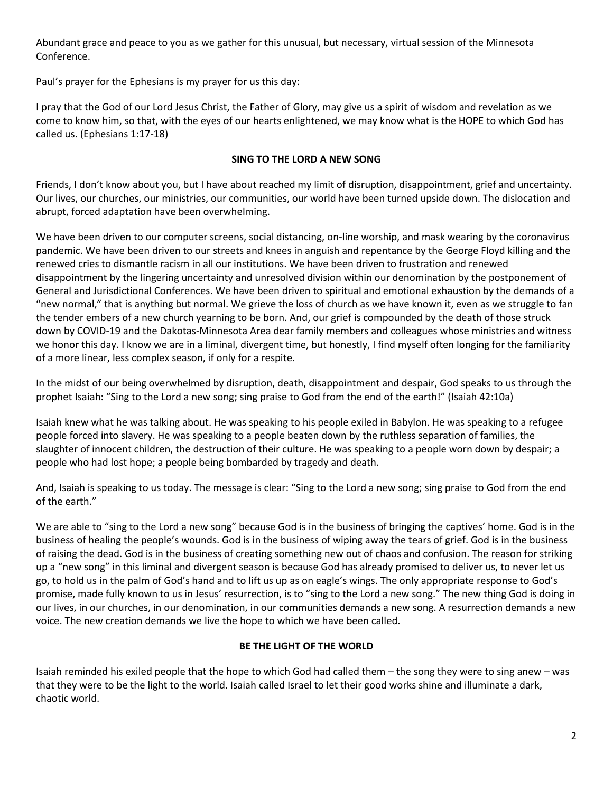Abundant grace and peace to you as we gather for this unusual, but necessary, virtual session of the Minnesota Conference.

Paul's prayer for the Ephesians is my prayer for us this day:

I pray that the God of our Lord Jesus Christ, the Father of Glory, may give us a spirit of wisdom and revelation as we come to know him, so that, with the eyes of our hearts enlightened, we may know what is the HOPE to which God has called us. (Ephesians 1:17-18)

### **SING TO THE LORD A NEW SONG**

Friends, I don't know about you, but I have about reached my limit of disruption, disappointment, grief and uncertainty. Our lives, our churches, our ministries, our communities, our world have been turned upside down. The dislocation and abrupt, forced adaptation have been overwhelming.

We have been driven to our computer screens, social distancing, on-line worship, and mask wearing by the coronavirus pandemic. We have been driven to our streets and knees in anguish and repentance by the George Floyd killing and the renewed cries to dismantle racism in all our institutions. We have been driven to frustration and renewed disappointment by the lingering uncertainty and unresolved division within our denomination by the postponement of General and Jurisdictional Conferences. We have been driven to spiritual and emotional exhaustion by the demands of a "new normal," that is anything but normal. We grieve the loss of church as we have known it, even as we struggle to fan the tender embers of a new church yearning to be born. And, our grief is compounded by the death of those struck down by COVID-19 and the Dakotas-Minnesota Area dear family members and colleagues whose ministries and witness we honor this day. I know we are in a liminal, divergent time, but honestly, I find myself often longing for the familiarity of a more linear, less complex season, if only for a respite.

In the midst of our being overwhelmed by disruption, death, disappointment and despair, God speaks to us through the prophet Isaiah: "Sing to the Lord a new song; sing praise to God from the end of the earth!" (Isaiah 42:10a)

Isaiah knew what he was talking about. He was speaking to his people exiled in Babylon. He was speaking to a refugee people forced into slavery. He was speaking to a people beaten down by the ruthless separation of families, the slaughter of innocent children, the destruction of their culture. He was speaking to a people worn down by despair; a people who had lost hope; a people being bombarded by tragedy and death.

And, Isaiah is speaking to us today. The message is clear: "Sing to the Lord a new song; sing praise to God from the end of the earth."

We are able to "sing to the Lord a new song" because God is in the business of bringing the captives' home. God is in the business of healing the people's wounds. God is in the business of wiping away the tears of grief. God is in the business of raising the dead. God is in the business of creating something new out of chaos and confusion. The reason for striking up a "new song" in this liminal and divergent season is because God has already promised to deliver us, to never let us go, to hold us in the palm of God's hand and to lift us up as on eagle's wings. The only appropriate response to God's promise, made fully known to us in Jesus' resurrection, is to "sing to the Lord a new song." The new thing God is doing in our lives, in our churches, in our denomination, in our communities demands a new song. A resurrection demands a new voice. The new creation demands we live the hope to which we have been called.

# **BE THE LIGHT OF THE WORLD**

Isaiah reminded his exiled people that the hope to which God had called them – the song they were to sing anew – was that they were to be the light to the world. Isaiah called Israel to let their good works shine and illuminate a dark, chaotic world.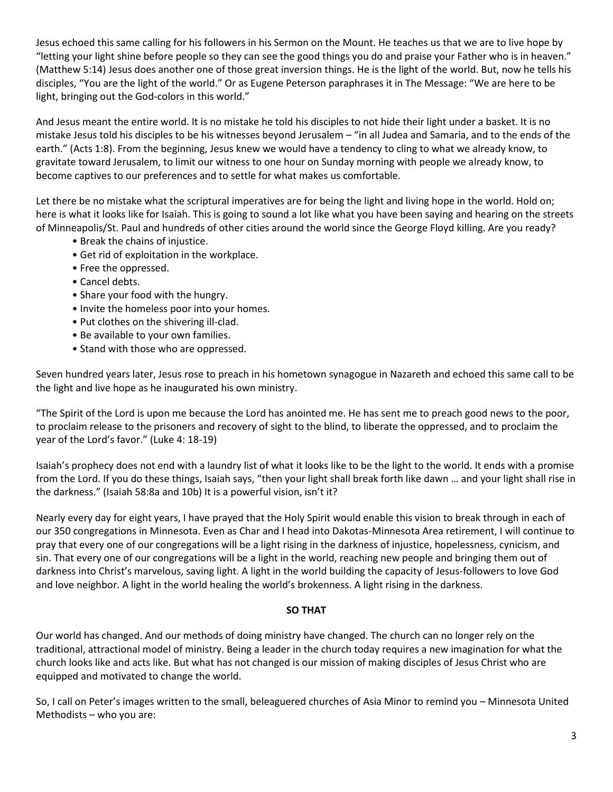Jesus echoed this same calling for his followers in his Sermon on the Mount. He teaches us that we are to live hope by "letting your light shine before people so they can see the good things you do and praise your Father who is in heaven." (Matthew 5:14) Jesus does another one of those great inversion things. He is the light of the world. But, now he tells his disciples, "You are the light of the world." Or as Eugene Peterson paraphrases it in The Message: "We are here to be light, bringing out the God-colors in this world."

And Jesus meant the entire world. It is no mistake he told his disciples to not hide their light under a basket. It is no mistake Jesus told his disciples to be his witnesses beyond Jerusalem – "in all Judea and Samaria, and to the ends of the earth." (Acts 1:8). From the beginning, Jesus knew we would have a tendency to cling to what we already know, to gravitate toward Jerusalem, to limit our witness to one hour on Sunday morning with people we already know, to become captives to our preferences and to settle for what makes us comfortable.

Let there be no mistake what the scriptural imperatives are for being the light and living hope in the world. Hold on; here is what it looks like for Isaiah. This is going to sound a lot like what you have been saying and hearing on the streets of Minneapolis/St. Paul and hundreds of other cities around the world since the George Floyd killing. Are you ready?

- Break the chains of injustice.
- Get rid of exploitation in the workplace.
- Free the oppressed.
- Cancel debts.
- Share your food with the hungry.
- Invite the homeless poor into your homes.
- Put clothes on the shivering ill-clad.
- Be available to your own families.
- Stand with those who are oppressed.

Seven hundred years later, Jesus rose to preach in his hometown synagogue in Nazareth and echoed this same call to be the light and live hope as he inaugurated his own ministry.

"The Spirit of the Lord is upon me because the Lord has anointed me. He has sent me to preach good news to the poor, to proclaim release to the prisoners and recovery of sight to the blind, to liberate the oppressed, and to proclaim the year of the Lord's favor." (Luke 4: 18-19)

Isaiah's prophecy does not end with a laundry list of what it looks like to be the light to the world. It ends with a promise from the Lord. If you do these things, Isaiah says, "then your light shall break forth like dawn … and your light shall rise in the darkness." (Isaiah 58:8a and 10b) It is a powerful vision, isn't it?

Nearly every day for eight years, I have prayed that the Holy Spirit would enable this vision to break through in each of our 350 congregations in Minnesota. Even as Char and I head into Dakotas-Minnesota Area retirement, I will continue to pray that every one of our congregations will be a light rising in the darkness of injustice, hopelessness, cynicism, and sin. That every one of our congregations will be a light in the world, reaching new people and bringing them out of darkness into Christ's marvelous, saving light. A light in the world building the capacity of Jesus-followers to love God and love neighbor. A light in the world healing the world's brokenness. A light rising in the darkness.

#### **SO THAT**

Our world has changed. And our methods of doing ministry have changed. The church can no longer rely on the traditional, attractional model of ministry. Being a leader in the church today requires a new imagination for what the church looks like and acts like. But what has not changed is our mission of making disciples of Jesus Christ who are equipped and motivated to change the world.

So, I call on Peter's images written to the small, beleaguered churches of Asia Minor to remind you – Minnesota United Methodists – who you are: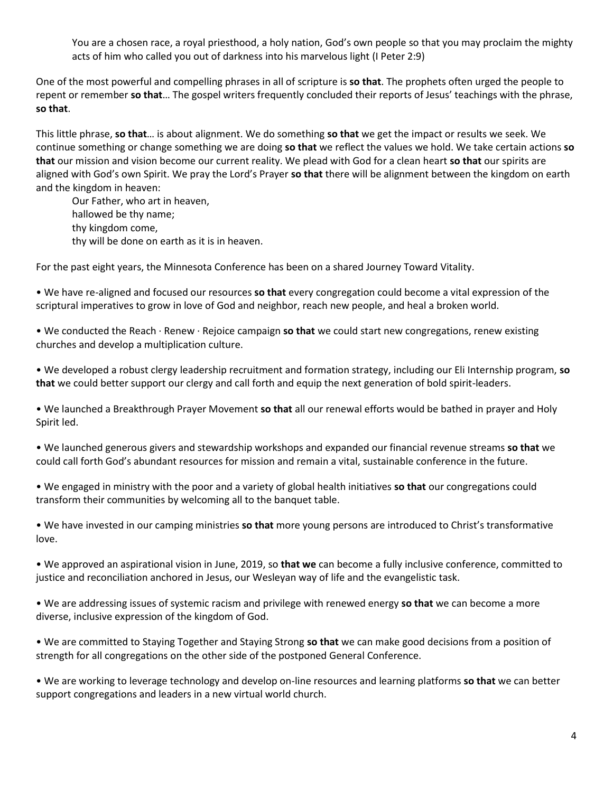You are a chosen race, a royal priesthood, a holy nation, God's own people so that you may proclaim the mighty acts of him who called you out of darkness into his marvelous light (I Peter 2:9)

One of the most powerful and compelling phrases in all of scripture is **so that**. The prophets often urged the people to repent or remember **so that**… The gospel writers frequently concluded their reports of Jesus' teachings with the phrase, **so that**.

This little phrase, **so that**… is about alignment. We do something **so that** we get the impact or results we seek. We continue something or change something we are doing **so that** we reflect the values we hold. We take certain actions **so that** our mission and vision become our current reality. We plead with God for a clean heart **so that** our spirits are aligned with God's own Spirit. We pray the Lord's Prayer **so that** there will be alignment between the kingdom on earth and the kingdom in heaven:

Our Father, who art in heaven, hallowed be thy name; thy kingdom come, thy will be done on earth as it is in heaven.

For the past eight years, the Minnesota Conference has been on a shared Journey Toward Vitality.

• We have re-aligned and focused our resources **so that** every congregation could become a vital expression of the scriptural imperatives to grow in love of God and neighbor, reach new people, and heal a broken world.

• We conducted the Reach · Renew · Rejoice campaign **so that** we could start new congregations, renew existing churches and develop a multiplication culture.

• We developed a robust clergy leadership recruitment and formation strategy, including our Eli Internship program, **so that** we could better support our clergy and call forth and equip the next generation of bold spirit-leaders.

• We launched a Breakthrough Prayer Movement **so that** all our renewal efforts would be bathed in prayer and Holy Spirit led.

• We launched generous givers and stewardship workshops and expanded our financial revenue streams **so that** we could call forth God's abundant resources for mission and remain a vital, sustainable conference in the future.

• We engaged in ministry with the poor and a variety of global health initiatives **so that** our congregations could transform their communities by welcoming all to the banquet table.

• We have invested in our camping ministries **so that** more young persons are introduced to Christ's transformative love.

• We approved an aspirational vision in June, 2019, so **that we** can become a fully inclusive conference, committed to justice and reconciliation anchored in Jesus, our Wesleyan way of life and the evangelistic task.

• We are addressing issues of systemic racism and privilege with renewed energy **so that** we can become a more diverse, inclusive expression of the kingdom of God.

• We are committed to Staying Together and Staying Strong **so that** we can make good decisions from a position of strength for all congregations on the other side of the postponed General Conference.

• We are working to leverage technology and develop on-line resources and learning platforms **so that** we can better support congregations and leaders in a new virtual world church.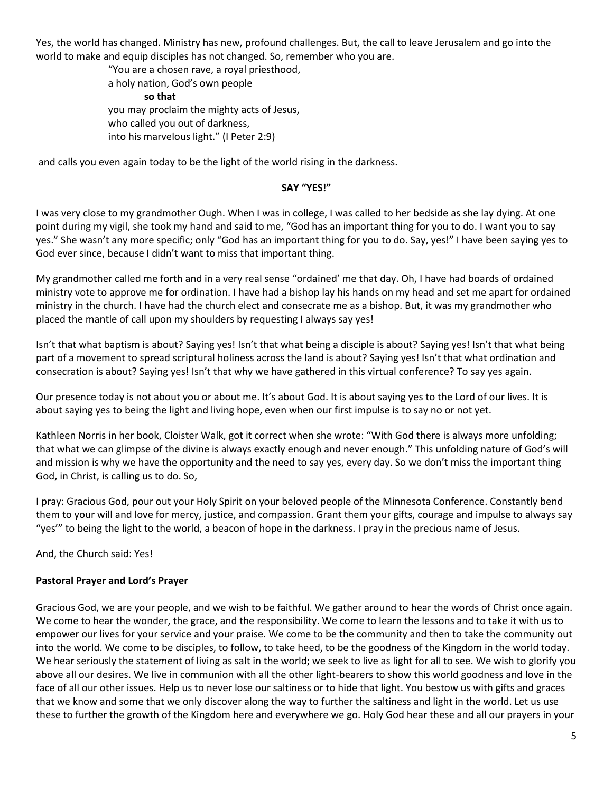Yes, the world has changed. Ministry has new, profound challenges. But, the call to leave Jerusalem and go into the world to make and equip disciples has not changed. So, remember who you are.

> "You are a chosen rave, a royal priesthood, a holy nation, God's own people **so that** you may proclaim the mighty acts of Jesus, who called you out of darkness, into his marvelous light." (I Peter 2:9)

and calls you even again today to be the light of the world rising in the darkness.

#### **SAY "YES!"**

I was very close to my grandmother Ough. When I was in college, I was called to her bedside as she lay dying. At one point during my vigil, she took my hand and said to me, "God has an important thing for you to do. I want you to say yes." She wasn't any more specific; only "God has an important thing for you to do. Say, yes!" I have been saying yes to God ever since, because I didn't want to miss that important thing.

My grandmother called me forth and in a very real sense "ordained' me that day. Oh, I have had boards of ordained ministry vote to approve me for ordination. I have had a bishop lay his hands on my head and set me apart for ordained ministry in the church. I have had the church elect and consecrate me as a bishop. But, it was my grandmother who placed the mantle of call upon my shoulders by requesting I always say yes!

Isn't that what baptism is about? Saying yes! Isn't that what being a disciple is about? Saying yes! Isn't that what being part of a movement to spread scriptural holiness across the land is about? Saying yes! Isn't that what ordination and consecration is about? Saying yes! Isn't that why we have gathered in this virtual conference? To say yes again.

Our presence today is not about you or about me. It's about God. It is about saying yes to the Lord of our lives. It is about saying yes to being the light and living hope, even when our first impulse is to say no or not yet.

Kathleen Norris in her book, Cloister Walk, got it correct when she wrote: "With God there is always more unfolding; that what we can glimpse of the divine is always exactly enough and never enough." This unfolding nature of God's will and mission is why we have the opportunity and the need to say yes, every day. So we don't miss the important thing God, in Christ, is calling us to do. So,

I pray: Gracious God, pour out your Holy Spirit on your beloved people of the Minnesota Conference. Constantly bend them to your will and love for mercy, justice, and compassion. Grant them your gifts, courage and impulse to always say "yes'" to being the light to the world, a beacon of hope in the darkness. I pray in the precious name of Jesus.

And, the Church said: Yes!

# **Pastoral Prayer and Lord's Prayer**

Gracious God, we are your people, and we wish to be faithful. We gather around to hear the words of Christ once again. We come to hear the wonder, the grace, and the responsibility. We come to learn the lessons and to take it with us to empower our lives for your service and your praise. We come to be the community and then to take the community out into the world. We come to be disciples, to follow, to take heed, to be the goodness of the Kingdom in the world today. We hear seriously the statement of living as salt in the world; we seek to live as light for all to see. We wish to glorify you above all our desires. We live in communion with all the other light-bearers to show this world goodness and love in the face of all our other issues. Help us to never lose our saltiness or to hide that light. You bestow us with gifts and graces that we know and some that we only discover along the way to further the saltiness and light in the world. Let us use these to further the growth of the Kingdom here and everywhere we go. Holy God hear these and all our prayers in your